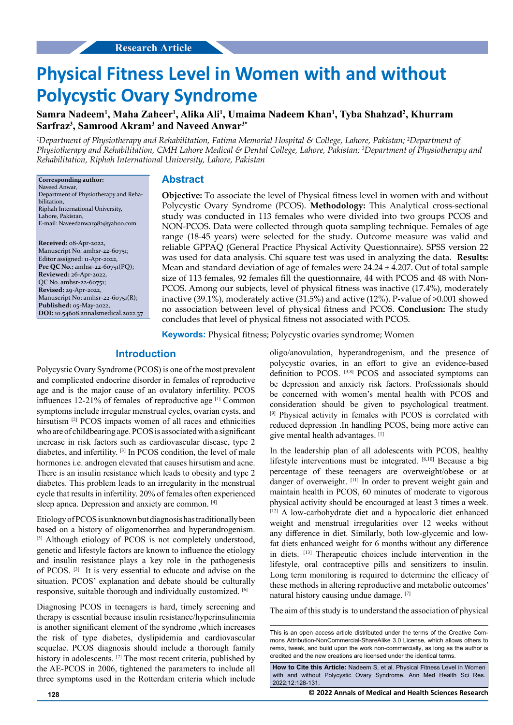# **Physical Fitness Level in Women with and without Polycystic Ovary Syndrome**

**Samra Nadeem1 , Maha Zaheer1 , Alika Ali1 , Umaima Nadeem Khan1 , Tyba Shahzad2 , Khurram Sarfraz3 , Samrood Akram3 and Naveed Anwar3\***

*<sup>1</sup>Department of Physiotherapy and Rehabilitation, Fatima Memorial Hospital & College, Lahore, Pakistan; <sup>2</sup>Department of Physiotherapy and Rehabilitation, CMH Lahore Medical & Dental College, Lahore, Pakistan; 3 Department of Physiotherapy and Rehabilitation, Riphah International University, Lahore, Pakistan*

**Corresponding author:**

Naveed Anwar, Department of Physiotherapy and Rehabilitation, Riphah International University, Lahore, Pakistan, E-mail: Naveedanwar982@yahoo.com

**Received:** 08-Apr-2022, Manuscript No. amhsr-22-60751; Editor assigned: 11-Apr-2022, **Pre QC No.:** amhsr-22-60751(PQ); **Reviewed:** 26-Apr-2022, QC No. amhsr-22-60751; **Revised:** 29-Apr-2022, Manuscript No: amhsr-22-60751(R); **Published:** 05-May-2022, **DOI:** 10.54608.annalsmedical.2022.37

#### **Abstract**

**Objective:** To associate the level of Physical fitness level in women with and without Polycystic Ovary Syndrome (PCOS). **Methodology:** This Analytical cross-sectional study was conducted in 113 females who were divided into two groups PCOS and NON-PCOS. Data were collected through quota sampling technique. Females of age range (18-45 years) were selected for the study. Outcome measure was valid and reliable GPPAQ (General Practice Physical Activity Questionnaire). SPSS version 22 was used for data analysis. Chi square test was used in analyzing the data. **Results:** Mean and standard deviation of age of females were  $24.24 \pm 4.207$ . Out of total sample size of 113 females, 92 females fill the questionnaire, 44 with PCOS and 48 with Non-PCOS. Among our subjects, level of physical fitness was inactive (17.4%), moderately inactive (39.1%), moderately active (31.5%) and active (12%). P-value of >0.001 showed no association between level of physical fitness and PCOS. **Conclusion:** The study concludes that level of physical fitness not associated with PCOS.

**Keywords:** Physical fitness; Polycystic ovaries syndrome; Women

# **Introduction**

Polycystic Ovary Syndrome (PCOS) is one of the most prevalent and complicated endocrine disorder in females of reproductive age and is the major cause of an ovulatory infertility. PCOS influences 12-21% of females of reproductive age [1] Common symptoms include irregular menstrual cycles, ovarian cysts, and hirsutism <sup>[2]</sup> PCOS impacts women of all races and ethnicities who are of childbearing age. PCOS is associated with a significant increase in risk factors such as cardiovascular disease, type 2 diabetes, and infertility. [3] In PCOS condition, the level of male hormones i.e. androgen elevated that causes hirsutism and acne. There is an insulin resistance which leads to obesity and type 2 diabetes. This problem leads to an irregularity in the menstrual cycle that results in infertility. 20% of females often experienced sleep apnea. Depression and anxiety are common. [4]

Etiology of PCOS is unknown but diagnosis has traditionally been based on a history of oligomenorrhea and hyperandrogenism. [5] Although etiology of PCOS is not completely understood, genetic and lifestyle factors are known to influence the etiology and insulin resistance plays a key role in the pathogenesis of PCOS. [3] It is very essential to educate and advise on the situation. PCOS' explanation and debate should be culturally responsive, suitable thorough and individually customized. [6]

Diagnosing PCOS in teenagers is hard, timely screening and therapy is essential because insulin resistance/hyperinsulinemia is another significant element of the syndrome ,which increases the risk of type diabetes, dyslipidemia and cardiovascular sequelae. PCOS diagnosis should include a thorough family history in adolescents. <sup>[7]</sup> The most recent criteria, published by the AE-PCOS in 2006, tightened the parameters to include all three symptoms used in the Rotterdam criteria which include

oligo/anovulation, hyperandrogenism, and the presence of polycystic ovaries, in an effort to give an evidence-based definition to PCOS. [3,8] PCOS and associated symptoms can be depression and anxiety risk factors. Professionals should be concerned with women's mental health with PCOS and consideration should be given to psychological treatment. [9] Physical activity in females with PCOS is correlated with reduced depression .In handling PCOS, being more active can give mental health advantages. [1]

In the leadership plan of all adolescents with PCOS, healthy lifestyle interventions must be integrated. [6,10] Because a big percentage of these teenagers are overweight/obese or at danger of overweight. [11] In order to prevent weight gain and maintain health in PCOS, 60 minutes of moderate to vigorous physical activity should be encouraged at least 3 times a week. [12] A low-carbohydrate diet and a hypocaloric diet enhanced weight and menstrual irregularities over 12 weeks without any difference in diet. Similarly, both low-glycemic and lowfat diets enhanced weight for 6 months without any difference in diets. [13] Therapeutic choices include intervention in the lifestyle, oral contraceptive pills and sensitizers to insulin. Long term monitoring is required to determine the efficacy of these methods in altering reproductive and metabolic outcomes' natural history causing undue damage. [7]

The aim of this study is to understand the association of physical

This is an open access article distributed under the terms of the Creative Commons Attribution-NonCommercial-ShareAlike 3.0 License, which allows others to remix, tweak, and build upon the work non‑commercially, as long as the author is credited and the new creations are licensed under the identical terms.

**How to Cite this Article:** Nadeem S, et al. Physical Fitness Level in Women with and without Polycystic Ovary Syndrome. Ann Med Health Sci Res. 2022;12:128-131.

**128 © 2022 Annals of Medical and Health Sciences Research**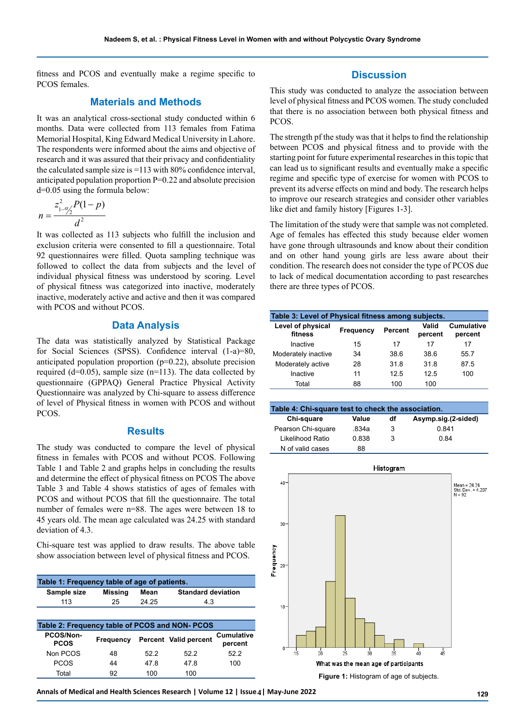fitness and PCOS and eventually make a regime specific to PCOS females.

# **Materials and Methods**

It was an analytical cross-sectional study conducted within 6 months. Data were collected from 113 females from Fatima Memorial Hospital, King Edward Medical University in Lahore. The respondents were informed about the aims and objective of research and it was assured that their privacy and confidentiality the calculated sample size is =113 with 80% confidence interval, anticipated population proportion  $P=0.22$  and absolute precision d=0.05 using the formula below:

$$
n = \frac{z_{1-\alpha/2}^2 P(1-p)}{d^2}
$$

It was collected as 113 subjects who fulfill the inclusion and exclusion criteria were consented to fill a questionnaire. Total 92 questionnaires were filled. Quota sampling technique was followed to collect the data from subjects and the level of individual physical fitness was understood by scoring. Level of physical fitness was categorized into inactive, moderately inactive, moderately active and active and then it was compared with PCOS and without PCOS.

# **Data Analysis**

The data was statistically analyzed by Statistical Package for Social Sciences (SPSS). Confidence interval (1-a)=80, anticipated population proportion  $(p=0.22)$ , absolute precision required (d=0.05), sample size (n=113). The data collected by questionnaire (GPPAQ) General Practice Physical Activity Questionnaire was analyzed by Chi-square to assess difference of level of Physical fitness in women with PCOS and without PCOS.

## **Results**

The study was conducted to compare the level of physical fitness in females with PCOS and without PCOS. Following Table 1 and Table 2 and graphs helps in concluding the results and determine the effect of physical fitness on PCOS The above Table 3 and Table 4 shows statistics of ages of females with PCOS and without PCOS that fill the questionnaire. The total number of females were n=88. The ages were between 18 to 45 years old. The mean age calculated was 24.25 with standard deviation of 4.3.

Chi-square test was applied to draw results. The above table show association between level of physical fitness and PCOS.

| Table 1: Frequency table of age of patients.   |                |       |                           |                              |  |  |  |
|------------------------------------------------|----------------|-------|---------------------------|------------------------------|--|--|--|
| Sample size                                    | <b>Missing</b> | Mean  | <b>Standard deviation</b> |                              |  |  |  |
| 113                                            | 25             | 24.25 | 4.3                       |                              |  |  |  |
|                                                |                |       |                           |                              |  |  |  |
| Table 2: Frequency table of PCOS and NON- PCOS |                |       |                           |                              |  |  |  |
| PCOS/Non-<br><b>PCOS</b>                       | Frequency      |       | Percent Valid percent     | <b>Cumulative</b><br>percent |  |  |  |
| Non PCOS                                       | 48             | 522   | 522                       | 522                          |  |  |  |
| <b>PCOS</b>                                    | 44             | 478   | 478                       | 100                          |  |  |  |
| Total                                          | 92             | 100   | 100                       |                              |  |  |  |

#### **Discussion**

This study was conducted to analyze the association between level of physical fitness and PCOS women. The study concluded that there is no association between both physical fitness and PCOS.

The strength pf the study was that it helps to find the relationship between PCOS and physical fitness and to provide with the starting point for future experimental researches in this topic that can lead us to significant results and eventually make a specific regime and specific type of exercise for women with PCOS to prevent its adverse effects on mind and body. The research helps to improve our research strategies and consider other variables like diet and family history [Figures 1-3].

The limitation of the study were that sample was not completed. Age of females has effected this study because elder women have gone through ultrasounds and know about their condition and on other hand young girls are less aware about their condition. The research does not consider the type of PCOS due to lack of medical documentation according to past researches there are three types of PCOS.

| Table 3: Level of Physical fitness among subjects. |           |         |                  |                              |  |  |
|----------------------------------------------------|-----------|---------|------------------|------------------------------|--|--|
| Level of physical<br>fitness                       | Frequency | Percent | Valid<br>percent | <b>Cumulative</b><br>percent |  |  |
| Inactive                                           | 15        | 17      | 17               | 17                           |  |  |
| Moderately inactive                                | 34        | 38.6    | 38.6             | 55.7                         |  |  |
| Moderately active                                  | 28        | 31.8    | 31.8             | 87.5                         |  |  |
| Inactive                                           | 11        | 125     | 12.5             | 100                          |  |  |
| Total                                              | 88        | 100     | 100              |                              |  |  |

| Table 4: Chi-square test to check the association. |       |    |                     |  |  |  |
|----------------------------------------------------|-------|----|---------------------|--|--|--|
| Chi-square                                         | Value | df | Asymp.sig.(2-sided) |  |  |  |
| Pearson Chi-square                                 | 834a  | 3  | 0.841               |  |  |  |
| Likelihood Ratio                                   | 0.838 | 3  | 0 84                |  |  |  |
| N of valid cases                                   | 88    |    |                     |  |  |  |



Annals of Medical and Health Sciences Research | Volume 12 | Issue 4 | May-June 2022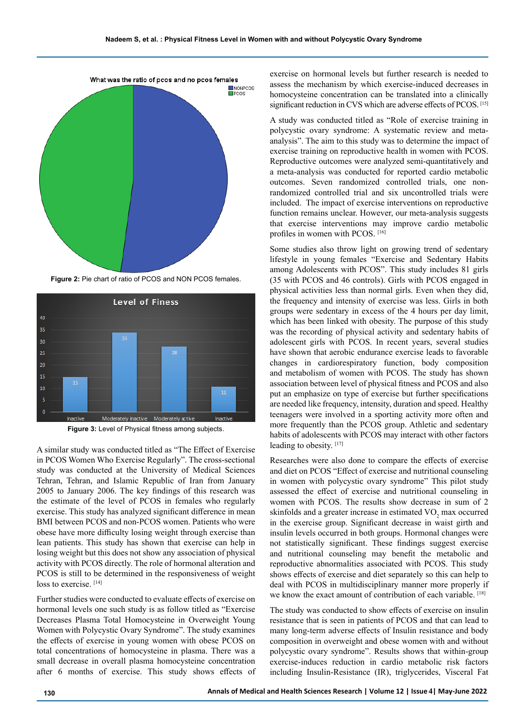

**Figure 2:** Pie chart of ratio of PCOS and NON PCOS females.



**Figure 3:** Level of Physical fitness among subjects.

A similar study was conducted titled as "The Effect of Exercise in PCOS Women Who Exercise Regularly". The cross-sectional study was conducted at the University of Medical Sciences Tehran, Tehran, and Islamic Republic of Iran from January 2005 to January 2006. The key findings of this research was the estimate of the level of PCOS in females who regularly exercise. This study has analyzed significant difference in mean BMI between PCOS and non-PCOS women. Patients who were obese have more difficulty losing weight through exercise than lean patients. This study has shown that exercise can help in losing weight but this does not show any association of physical activity with PCOS directly. The role of hormonal alteration and PCOS is still to be determined in the responsiveness of weight loss to exercise. [14]

Further studies were conducted to evaluate effects of exercise on hormonal levels one such study is as follow titled as "Exercise Decreases Plasma Total Homocysteine in Overweight Young Women with Polycystic Ovary Syndrome". The study examines the effects of exercise in young women with obese PCOS on total concentrations of homocysteine in plasma. There was a small decrease in overall plasma homocysteine concentration after 6 months of exercise. This study shows effects of exercise on hormonal levels but further research is needed to assess the mechanism by which exercise-induced decreases in homocysteine concentration can be translated into a clinically significant reduction in CVS which are adverse effects of PCOS. [15]

A study was conducted titled as "Role of exercise training in polycystic ovary syndrome: A systematic review and metaanalysis". The aim to this study was to determine the impact of exercise training on reproductive health in women with PCOS. Reproductive outcomes were analyzed semi-quantitatively and a meta-analysis was conducted for reported cardio metabolic outcomes. Seven randomized controlled trials, one nonrandomized controlled trial and six uncontrolled trials were included. The impact of exercise interventions on reproductive function remains unclear. However, our meta-analysis suggests that exercise interventions may improve cardio metabolic profiles in women with PCOS. [16]

Some studies also throw light on growing trend of sedentary lifestyle in young females "Exercise and Sedentary Habits among Adolescents with PCOS". This study includes 81 girls (35 with PCOS and 46 controls). Girls with PCOS engaged in physical activities less than normal girls. Even when they did, the frequency and intensity of exercise was less. Girls in both groups were sedentary in excess of the 4 hours per day limit, which has been linked with obesity. The purpose of this study was the recording of physical activity and sedentary habits of adolescent girls with PCOS. In recent years, several studies have shown that aerobic endurance exercise leads to favorable changes in cardiorespiratory function, body composition and metabolism of women with PCOS. The study has shown association between level of physical fitness and PCOS and also put an emphasize on type of exercise but further specifications are needed like frequency, intensity, duration and speed. Healthy teenagers were involved in a sporting activity more often and more frequently than the PCOS group. Athletic and sedentary habits of adolescents with PCOS may interact with other factors leading to obesity. [17]

Researches were also done to compare the effects of exercise and diet on PCOS "Effect of exercise and nutritional counseling in women with polycystic ovary syndrome" This pilot study assessed the effect of exercise and nutritional counseling in women with PCOS. The results show decrease in sum of 2 skinfolds and a greater increase in estimated  $\rm VO_{2}$  max occurred in the exercise group. Significant decrease in waist girth and insulin levels occurred in both groups. Hormonal changes were not statistically significant. These findings suggest exercise and nutritional counseling may benefit the metabolic and reproductive abnormalities associated with PCOS. This study shows effects of exercise and diet separately so this can help to deal with PCOS in multidisciplinary manner more properly if we know the exact amount of contribution of each variable. [18]

The study was conducted to show effects of exercise on insulin resistance that is seen in patients of PCOS and that can lead to many long-term adverse effects of Insulin resistance and body composition in overweight and obese women with and without polycystic ovary syndrome". Results shows that within-group exercise-induces reduction in cardio metabolic risk factors including Insulin-Resistance (IR), triglycerides, Visceral Fat